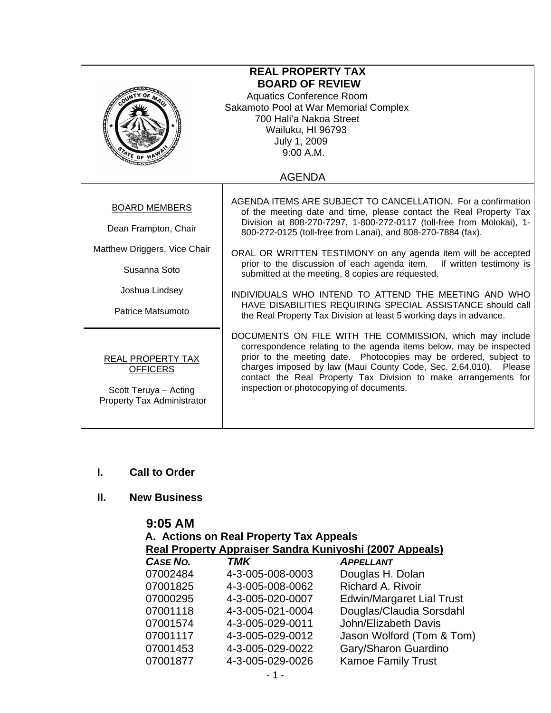| <b>REAL PROPERTY TAX</b><br><b>BOARD OF REVIEW</b><br><b>Aquatics Conference Room</b><br>Sakamoto Pool at War Memorial Complex<br>700 Hali'a Nakoa Street<br>Wailuku, HI 96793<br>July 1, 2009<br>9:00 A.M.<br>$\frac{4r_E}{r}$ of 1<br><b>AGENDA</b> |                                                                                                                                                                                                                                                                                                                                                                                         |  |
|-------------------------------------------------------------------------------------------------------------------------------------------------------------------------------------------------------------------------------------------------------|-----------------------------------------------------------------------------------------------------------------------------------------------------------------------------------------------------------------------------------------------------------------------------------------------------------------------------------------------------------------------------------------|--|
|                                                                                                                                                                                                                                                       |                                                                                                                                                                                                                                                                                                                                                                                         |  |
| <b>BOARD MEMBERS</b><br>Dean Frampton, Chair                                                                                                                                                                                                          | AGENDA ITEMS ARE SUBJECT TO CANCELLATION. For a confirmation<br>of the meeting date and time, please contact the Real Property Tax<br>Division at 808-270-7297, 1-800-272-0117 (toll-free from Molokai), 1-<br>800-272-0125 (toll-free from Lanai), and 808-270-7884 (fax).                                                                                                             |  |
| Matthew Driggers, Vice Chair<br>Susanna Soto                                                                                                                                                                                                          | ORAL OR WRITTEN TESTIMONY on any agenda item will be accepted<br>prior to the discussion of each agenda item. If written testimony is<br>submitted at the meeting, 8 copies are requested.                                                                                                                                                                                              |  |
| Joshua Lindsey<br>Patrice Matsumoto                                                                                                                                                                                                                   | INDIVIDUALS WHO INTEND TO ATTEND THE MEETING AND WHO<br>HAVE DISABILITIES REQUIRING SPECIAL ASSISTANCE should call<br>the Real Property Tax Division at least 5 working days in advance.                                                                                                                                                                                                |  |
| REAL PROPERTY TAX<br><b>OFFICERS</b><br>Scott Teruya - Acting<br><b>Property Tax Administrator</b>                                                                                                                                                    | DOCUMENTS ON FILE WITH THE COMMISSION, which may include<br>correspondence relating to the agenda items below, may be inspected<br>prior to the meeting date. Photocopies may be ordered, subject to<br>charges imposed by law (Maui County Code, Sec. 2.64.010). Please<br>contact the Real Property Tax Division to make arrangements for<br>inspection or photocopying of documents. |  |

## **I. Call to Order**

## **II. New Business**

| 9:05 AM  |                                         |                                                         |
|----------|-----------------------------------------|---------------------------------------------------------|
|          | A. Actions on Real Property Tax Appeals |                                                         |
|          |                                         | Real Property Appraiser Sandra Kuniyoshi (2007 Appeals) |
| CASE NO. | TMK                                     | <b>APPELLANT</b>                                        |
| 07002484 | 4-3-005-008-0003                        | Douglas H. Dolan                                        |
| 07001825 | 4-3-005-008-0062                        | <b>Richard A. Rivoir</b>                                |
| 07000295 | 4-3-005-020-0007                        | <b>Edwin/Margaret Lial Trust</b>                        |
| 07001118 | 4-3-005-021-0004                        | Douglas/Claudia Sorsdahl                                |
| 07001574 | 4-3-005-029-0011                        | John/Elizabeth Davis                                    |
| 07001117 | 4-3-005-029-0012                        | Jason Wolford (Tom & Tom)                               |
| 07001453 | 4-3-005-029-0022                        | Gary/Sharon Guardino                                    |
| 07001877 | 4-3-005-029-0026                        | <b>Kamoe Family Trust</b>                               |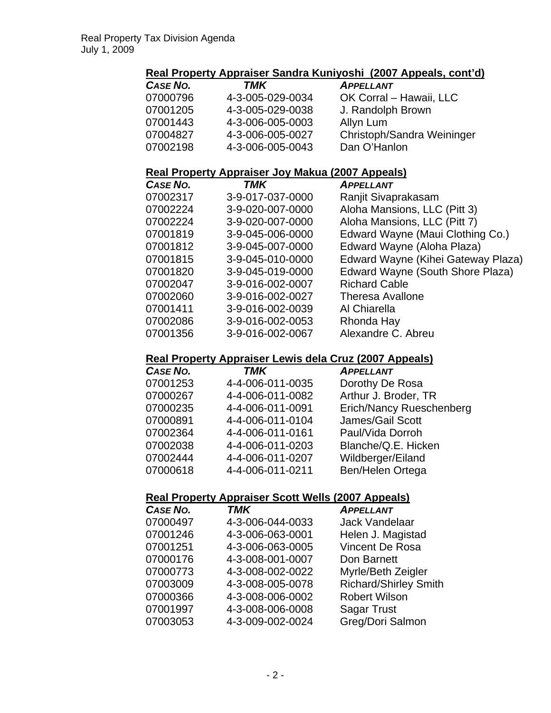# **Real Property Appraiser Sandra Kuniyoshi (2007 Appeals, cont'd)**

| CASE NO. | TMK              | <b>APPELLANT</b>           |
|----------|------------------|----------------------------|
| 07000796 | 4-3-005-029-0034 | OK Corral - Hawaii, LLC    |
| 07001205 | 4-3-005-029-0038 | J. Randolph Brown          |
| 07001443 | 4-3-006-005-0003 | Allyn Lum                  |
| 07004827 | 4-3-006-005-0027 | Christoph/Sandra Weininger |
| 07002198 | 4-3-006-005-0043 | Dan O'Hanlon               |

#### **Real Property Appraiser Joy Makua (2007 Appeals)**

| CASE NO. | <b>TMK</b>       | <b>APPELLANT</b>                   |
|----------|------------------|------------------------------------|
| 07002317 | 3-9-017-037-0000 | Ranjit Sivaprakasam                |
| 07002224 | 3-9-020-007-0000 | Aloha Mansions, LLC (Pitt 3)       |
| 07002224 | 3-9-020-007-0000 | Aloha Mansions, LLC (Pitt 7)       |
| 07001819 | 3-9-045-006-0000 | Edward Wayne (Maui Clothing Co.)   |
| 07001812 | 3-9-045-007-0000 | Edward Wayne (Aloha Plaza)         |
| 07001815 | 3-9-045-010-0000 | Edward Wayne (Kihei Gateway Plaza) |
| 07001820 | 3-9-045-019-0000 | Edward Wayne (South Shore Plaza)   |
| 07002047 | 3-9-016-002-0007 | <b>Richard Cable</b>               |
| 07002060 | 3-9-016-002-0027 | <b>Theresa Avallone</b>            |
| 07001411 | 3-9-016-002-0039 | Al Chiarella                       |
| 07002086 | 3-9-016-002-0053 | Rhonda Hay                         |
| 07001356 | 3-9-016-002-0067 | Alexandre C. Abreu                 |

# **Real Property Appraiser Lewis dela Cruz (2007 Appeals)**

| CASE NO. | <b>TMK</b>       | <b>APPELLANT</b>         |
|----------|------------------|--------------------------|
| 07001253 | 4-4-006-011-0035 | Dorothy De Rosa          |
| 07000267 | 4-4-006-011-0082 | Arthur J. Broder, TR     |
| 07000235 | 4-4-006-011-0091 | Erich/Nancy Rueschenberg |
| 07000891 | 4-4-006-011-0104 | James/Gail Scott         |
| 07002364 | 4-4-006-011-0161 | Paul/Vida Dorroh         |
| 07002038 | 4-4-006-011-0203 | Blanche/Q.E. Hicken      |
| 07002444 | 4-4-006-011-0207 | Wildberger/Eiland        |
| 07000618 | 4-4-006-011-0211 | Ben/Helen Ortega         |

# **Real Property Appraiser Scott Wells (2007 Appeals)**

| CASE NO. | <b>TMK</b>       | <b>APPELLANT</b>             |
|----------|------------------|------------------------------|
| 07000497 | 4-3-006-044-0033 | <b>Jack Vandelaar</b>        |
| 07001246 | 4-3-006-063-0001 | Helen J. Magistad            |
| 07001251 | 4-3-006-063-0005 | <b>Vincent De Rosa</b>       |
| 07000176 | 4-3-008-001-0007 | Don Barnett                  |
| 07000773 | 4-3-008-002-0022 | Myrle/Beth Zeigler           |
| 07003009 | 4-3-008-005-0078 | <b>Richard/Shirley Smith</b> |
| 07000366 | 4-3-008-006-0002 | <b>Robert Wilson</b>         |
| 07001997 | 4-3-008-006-0008 | <b>Sagar Trust</b>           |
| 07003053 | 4-3-009-002-0024 | Greg/Dori Salmon             |